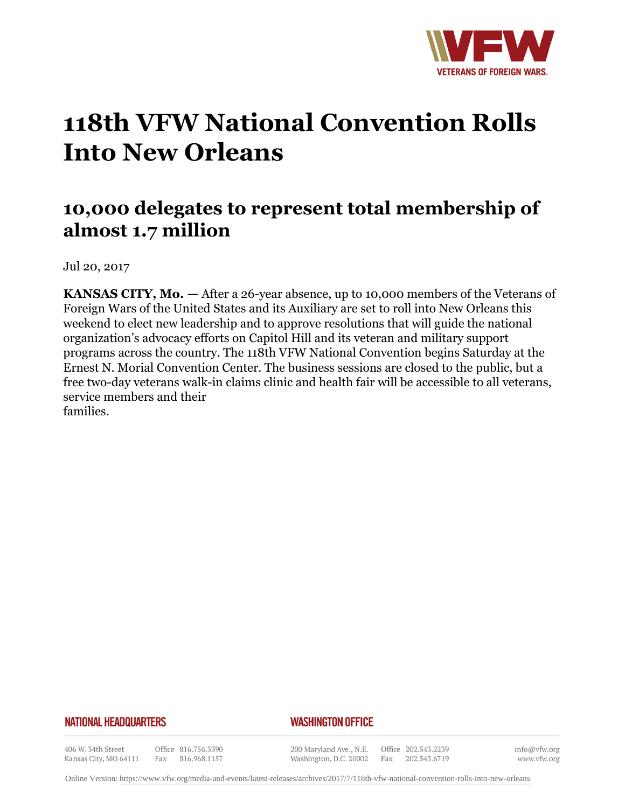

## **118th VFW National Convention Rolls Into New Orleans**

## **10,000 delegates to represent total membership of almost 1.7 million**

Jul 20, 2017

**KANSAS CITY, Mo. —** After a 26-year absence, up to 10,000 members of the Veterans of Foreign Wars of the United States and its Auxiliary are set to roll into New Orleans this weekend to elect new leadership and to approve resolutions that will guide the national organization's advocacy efforts on Capitol Hill and its veteran and military support programs across the country. The 118th VFW National Convention begins Saturday at the Ernest N. Morial Convention Center. The business sessions are closed to the public, but a free two-day veterans walk-in claims clinic and health fair will be accessible to all veterans, service members and their families.

## **NATIONAL HEADQUARTERS**

## *WASHINGTON OFFICE*

406 W. 34th Street Kansas City, MO 64111

Office 816.756.3390 Fax 816.968.1157

200 Maryland Ave., N.E. Washington, D.C. 20002

Office 202.543.2239 Fax 202.543.6719

info@vfw.org www.vfw.org

Online Version:<https://www.vfw.org/media-and-events/latest-releases/archives/2017/7/118th-vfw-national-convention-rolls-into-new-orleans>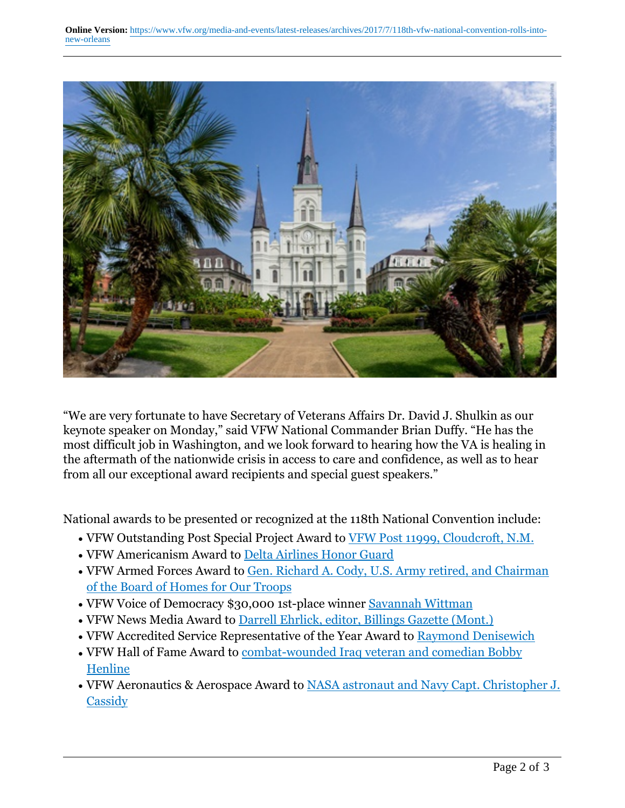

"We are very fortunate to have Secretary of Veterans Affairs Dr. David J. Shulkin as our keynote speaker on Monday," said VFW National Commander Brian Duffy. "He has the most difficult job in Washington, and we look forward to hearing how the VA is healing in the aftermath of the nationwide crisis in access to care and confidence, as well as to hear from all our exceptional award recipients and special guest speakers."

National awards to be presented or recognized at the 118th National Convention include:

- VFW Outstanding Post Special Project Award to VFW Post 11999, Cloudcroft, N.M.
- VFW Americanism Award to Delta Airlines Honor Guard
- VFW Armed Forces Award to <u>Gen. Richard A. Cody, U.S. Army retired, and Chairman</u> of the Board of Homes for Our Troops
- VFW Voice of Democracy \$30,000 1st-place winner Savannah Wittman
- VFW News Media Award to Darrell Ehrlick, editor, Billings Gazette (Mont.)
- VFW Accredited Service Representative of the Year Award to Raymond Denisewich
- VFW Hall of Fame Award to <u>combat-wounded Iraq veteran and comedian Bobby</u> Henline
- VFW Aeronautics & Aerospace Award to **NASA** astronaut and Navy Capt. Christopher J. **Cassidy**